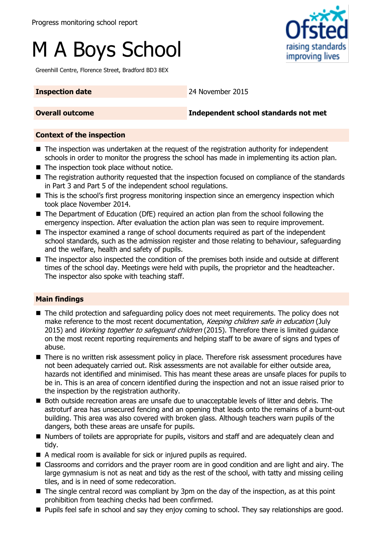# M A Boys School

Greenhill Centre, Florence Street, Bradford BD3 8EX

raising standards improving lives

**Inspection date** 24 November 2015

**Overall outcome Independent school standards not met**

#### **Context of the inspection**

- The inspection was undertaken at the request of the registration authority for independent schools in order to monitor the progress the school has made in implementing its action plan.
- The inspection took place without notice.
- The registration authority requested that the inspection focused on compliance of the standards in Part 3 and Part 5 of the independent school regulations.
- This is the school's first progress monitoring inspection since an emergency inspection which took place November 2014.
- The Department of Education (DfE) required an action plan from the school following the emergency inspection. After evaluation the action plan was seen to require improvement.
- The inspector examined a range of school documents required as part of the independent school standards, such as the admission register and those relating to behaviour, safeguarding and the welfare, health and safety of pupils.
- The inspector also inspected the condition of the premises both inside and outside at different times of the school day. Meetings were held with pupils, the proprietor and the headteacher. The inspector also spoke with teaching staff.

### **Main findings**

- The child protection and safeguarding policy does not meet requirements. The policy does not make reference to the most recent documentation, Keeping children safe in education (July 2015) and *Working together to safeguard children* (2015). Therefore there is limited guidance on the most recent reporting requirements and helping staff to be aware of signs and types of abuse.
- **There is no written risk assessment policy in place. Therefore risk assessment procedures have** not been adequately carried out. Risk assessments are not available for either outside area, hazards not identified and minimised. This has meant these areas are unsafe places for pupils to be in. This is an area of concern identified during the inspection and not an issue raised prior to the inspection by the registration authority.
- **Both outside recreation areas are unsafe due to unacceptable levels of litter and debris. The** astroturf area has unsecured fencing and an opening that leads onto the remains of a burnt-out building. This area was also covered with broken glass. Although teachers warn pupils of the dangers, both these areas are unsafe for pupils.
- Numbers of toilets are appropriate for pupils, visitors and staff and are adequately clean and tidy.
- A medical room is available for sick or injured pupils as required.
- Classrooms and corridors and the prayer room are in good condition and are light and airy. The large gymnasium is not as neat and tidy as the rest of the school, with tatty and missing ceiling tiles, and is in need of some redecoration.
- The single central record was compliant by 3pm on the day of the inspection, as at this point prohibition from teaching checks had been confirmed.
- **Pupils feel safe in school and say they enjoy coming to school. They say relationships are good.**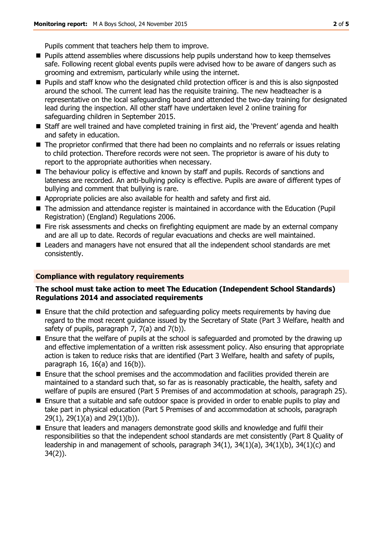Pupils comment that teachers help them to improve.

- **Pupils attend assemblies where discussions help pupils understand how to keep themselves** safe. Following recent global events pupils were advised how to be aware of dangers such as grooming and extremism, particularly while using the internet.
- Pupils and staff know who the designated child protection officer is and this is also signposted around the school. The current lead has the requisite training. The new headteacher is a representative on the local safeguarding board and attended the two-day training for designated lead during the inspection. All other staff have undertaken level 2 online training for safeguarding children in September 2015.
- Staff are well trained and have completed training in first aid, the 'Prevent' agenda and health and safety in education.
- The proprietor confirmed that there had been no complaints and no referrals or issues relating to child protection. Therefore records were not seen. The proprietor is aware of his duty to report to the appropriate authorities when necessary.
- The behaviour policy is effective and known by staff and pupils. Records of sanctions and lateness are recorded. An anti-bullying policy is effective. Pupils are aware of different types of bullying and comment that bullying is rare.
- Appropriate policies are also available for health and safety and first aid.
- The admission and attendance register is maintained in accordance with the Education (Pupil Registration) (England) Regulations 2006.
- Fire risk assessments and checks on firefighting equipment are made by an external company and are all up to date. Records of regular evacuations and checks are well maintained.
- **E** Leaders and managers have not ensured that all the independent school standards are met consistently.

#### **Compliance with regulatory requirements**

#### **The school must take action to meet The Education (Independent School Standards) Regulations 2014 and associated requirements**

- **Ensure that the child protection and safeguarding policy meets requirements by having due** regard to the most recent guidance issued by the Secretary of State (Part 3 Welfare, health and safety of pupils, paragraph 7, 7(a) and 7(b)).
- **E** Ensure that the welfare of pupils at the school is safeguarded and promoted by the drawing up and effective implementation of a written risk assessment policy. Also ensuring that appropriate action is taken to reduce risks that are identified (Part 3 Welfare, health and safety of pupils, paragraph 16, 16(a) and 16(b)).
- Ensure that the school premises and the accommodation and facilities provided therein are maintained to a standard such that, so far as is reasonably practicable, the health, safety and welfare of pupils are ensured (Part 5 Premises of and accommodation at schools, paragraph 25).
- Ensure that a suitable and safe outdoor space is provided in order to enable pupils to play and take part in physical education (Part 5 Premises of and accommodation at schools, paragraph 29(1), 29(1)(a) and 29(1)(b)).
- Ensure that leaders and managers demonstrate good skills and knowledge and fulfil their responsibilities so that the independent school standards are met consistently (Part 8 Quality of leadership in and management of schools, paragraph 34(1), 34(1)(a), 34(1)(b), 34(1)(c) and 34(2)).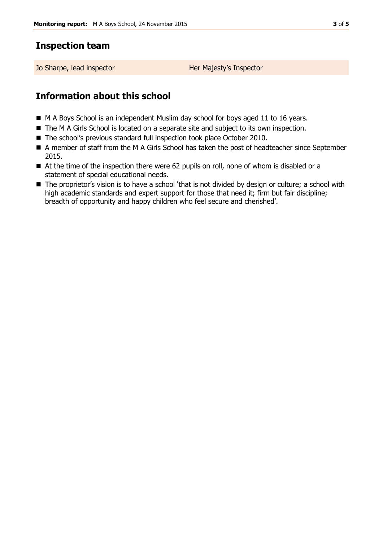## **Inspection team**

Jo Sharpe, lead inspector Her Majesty's Inspector

# **Information about this school**

- M A Boys School is an independent Muslim day school for boys aged 11 to 16 years.
- The M A Girls School is located on a separate site and subject to its own inspection.
- The school's previous standard full inspection took place October 2010.
- A member of staff from the M A Girls School has taken the post of headteacher since September 2015.
- At the time of the inspection there were 62 pupils on roll, none of whom is disabled or a statement of special educational needs.
- The proprietor's vision is to have a school 'that is not divided by design or culture; a school with high academic standards and expert support for those that need it; firm but fair discipline; breadth of opportunity and happy children who feel secure and cherished'.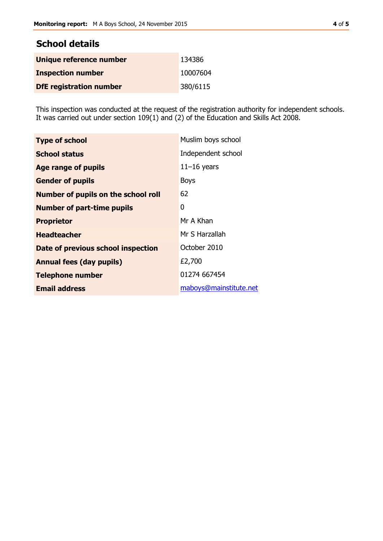| <b>School details</b>          |          |
|--------------------------------|----------|
| Unique reference number        | 134386   |
| <b>Inspection number</b>       | 10007604 |
| <b>DfE registration number</b> | 380/6115 |

This inspection was conducted at the request of the registration authority for independent schools. It was carried out under section 109(1) and (2) of the Education and Skills Act 2008.

| <b>Type of school</b>                      | Muslim boys school     |  |
|--------------------------------------------|------------------------|--|
| <b>School status</b>                       | Independent school     |  |
| <b>Age range of pupils</b>                 | $11-16$ years          |  |
| <b>Gender of pupils</b>                    | <b>Boys</b>            |  |
| <b>Number of pupils on the school roll</b> | 62                     |  |
| <b>Number of part-time pupils</b>          | 0                      |  |
| <b>Proprietor</b>                          | Mr A Khan              |  |
| <b>Headteacher</b>                         | Mr S Harzallah         |  |
| Date of previous school inspection         | October 2010           |  |
| <b>Annual fees (day pupils)</b>            | £2,700                 |  |
| <b>Telephone number</b>                    | 01274 667454           |  |
| <b>Email address</b>                       | maboys@mainstitute.net |  |